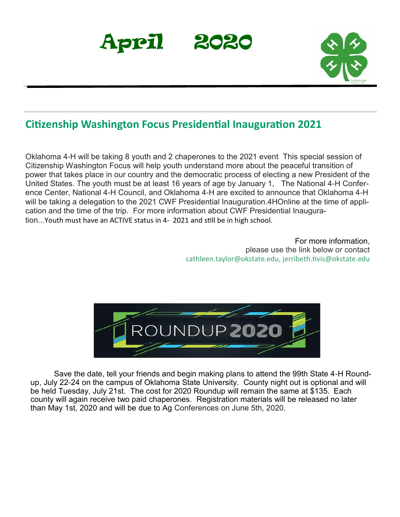



### **Citizenship Washington Focus Presidential Inauguration 2021**

Oklahoma 4-H will be taking 8 youth and 2 chaperones to the 2021 event This special session of Citizenship Washington Focus will help youth understand more about the peaceful transition of power that takes place in our country and the democratic process of electing a new President of the United States. The youth must be at least 16 years of age by January 1, The National 4-H Conference Center, National 4-H Council, and Oklahoma 4-H are excited to announce that Oklahoma 4-H will be taking a delegation to the 2021 CWF Presidential Inauguration.4HOnline at the time of application and the time of the trip. For more information about CWF Presidential Inauguration...Youth must have an ACTIVE status in 4- 2021 and still be in high school.

> For more information, please use the link below or contact cathleen.taylor@okstate.edu, jerribeth.tivis@okstate.edu



Save the date, tell your friends and begin making plans to attend the 99th State 4-H Roundup, July 22-24 on the campus of Oklahoma State University. County night out is optional and will be held Tuesday, July 21st. The cost for 2020 Roundup will remain the same at \$135. Each county will again receive two paid chaperones. Registration materials will be released no later than May 1st, 2020 and will be due to Ag Conferences on June 5th, 2020.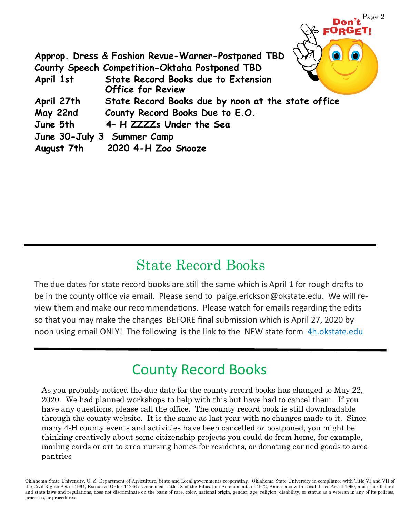

# State Record Books

The due dates for state record books are still the same which is April 1 for rough drafts to be in the county office via email. Please send to paige.erickson@okstate.edu. We will review them and make our recommendations. Please watch for emails regarding the edits so that you may make the changes BEFORE final submission which is April 27, 2020 by noon using email ONLY! The following is the link to the NEW state form 4h.okstate.edu

# County Record Books

As you probably noticed the due date for the county record books has changed to May 22, 2020. We had planned workshops to help with this but have had to cancel them. If you have any questions, please call the office. The county record book is still downloadable through the county website. It is the same as last year with no changes made to it. Since many 4-H county events and activities have been cancelled or postponed, you might be thinking creatively about some citizenship projects you could do from home, for example, mailing cards or art to area nursing homes for residents, or donating canned goods to area pantries

Oklahoma State University, U. S. Department of Agriculture, State and Local governments cooperating. Oklahoma State University in compliance with Title VI and VII of the Civil Rights Act of 1964, Executive Order 11246 as amended, Title IX of the Education Amendments of 1972, Americans with Disabilities Act of 1990, and other federal and state laws and regulations, does not discriminate on the basis of race, color, national origin, gender, age, religion, disability, or status as a veteran in any of its policies, practices, or procedures.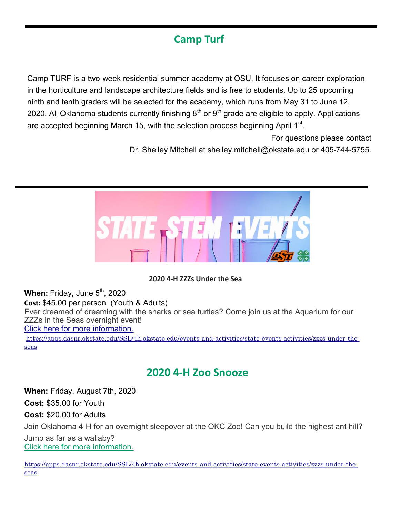## **Camp Turf**

Camp TURF is a two-week residential summer academy at OSU. It focuses on career exploration in the horticulture and landscape architecture fields and is free to students. Up to 25 upcoming ninth and tenth graders will be selected for the academy, which runs from May 31 to June 12, 2020. All Oklahoma students currently finishing  $8<sup>th</sup>$  or  $9<sup>th</sup>$  grade are eligible to apply. Applications are accepted beginning March 15, with the selection process beginning April 1 $^{\rm st}$ .

For questions please contact

Dr. Shelley Mitchell at shelley.mitchell@okstate.edu or 405-744-5755.



#### **2020 4-H ZZZs Under the Sea**

**When:** Friday, June 5<sup>th</sup>, 2020 **Cost:** \$45.00 per person (Youth & Adults) Ever dreamed of dreaming with the sharks or sea turtles? Come join us at the Aquarium for our ZZZs in the Seas overnight event! [Click here for more information.](https://nam04.safelinks.protection.outlook.com/?url=https%3A%2F%2Fokstate.us12.list-manage.com%2Ftrack%2Fclick%3Fu%3D31da6ae8f3fdb340469fea571%26id%3D69c46457f9%26e%3D5d75cab5a0&data=02%7C01%7Ctodd.trennepohl%40okstate.edu%7Cefe20cf612d041a40cbb08d7cf2b3084%7) [https://apps.dasnr.okstate.edu/SSL/4h.okstate.edu/events-and-activities/state-events-activities/zzzs-under-the-](https://apps.dasnr.okstate.edu/SSL/4h.okstate.edu/events-and-activities/state-events-activities/zzzs-under-the-seas)

[seas](https://apps.dasnr.okstate.edu/SSL/4h.okstate.edu/events-and-activities/state-events-activities/zzzs-under-the-seas)

### **2020 4-H Zoo Snooze**

**When:** Friday, August 7th, 2020

**Cost:** \$35.00 for Youth

**Cost:** \$20.00 for Adults

Join Oklahoma 4-H for an overnight sleepover at the OKC Zoo! Can you build the highest ant hill?

Jump as far as a wallaby? [Click here for more information.](https://nam04.safelinks.protection.outlook.com/?url=https%3A%2F%2Fokstate.us12.list-manage.com%2Ftrack%2Fclick%3Fu%3D31da6ae8f3fdb340469fea571%26id%3D644dbbc39e%26e%3D5d75cab5a0&data=02%7C01%7Ctodd.trennepohl%40okstate.edu%7Cefe20cf612d041a40cbb08d7cf2b3084%7)

[https://apps.dasnr.okstate.edu/SSL/4h.okstate.edu/events-and-activities/state-events-activities/zzzs-under-the](https://apps.dasnr.okstate.edu/SSL/4h.okstate.edu/events-and-activities/state-events-activities/zzzs-under-the-seas)[seas](https://apps.dasnr.okstate.edu/SSL/4h.okstate.edu/events-and-activities/state-events-activities/zzzs-under-the-seas)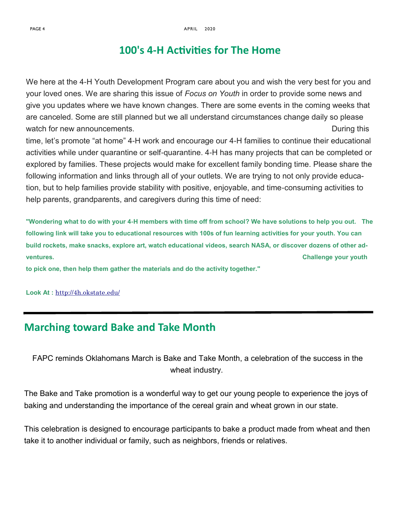### **100's 4-H Activities for The Home**

We here at the 4-H Youth Development Program care about you and wish the very best for you and your loved ones. We are sharing this issue of *Focus on Youth* in order to provide some news and give you updates where we have known changes. There are some events in the coming weeks that are canceled. Some are still planned but we all understand circumstances change daily so please watch for new announcements. The same state of the state of the state of the During this

time, let's promote "at home" 4-H work and encourage our 4-H families to continue their educational activities while under quarantine or self-quarantine. 4-H has many projects that can be completed or explored by families. These projects would make for excellent family bonding time. Please share the following information and links through all of your outlets. We are trying to not only provide education, but to help families provide stability with positive, enjoyable, and time-consuming activities to help parents, grandparents, and caregivers during this time of need:

**"Wondering what to do with your 4-H members with time off from school? We have solutions to help you out. The following link will take you to educational resources with 100s of fun learning activities for your youth. You can build rockets, make snacks, explore art, watch educational videos, search NASA, or discover dozens of other adventures. Challenge your youth** 

**to pick one, then help them gather the materials and do the activity together."**

**Look At :** <http://4h.okstate.edu/>

### **Marching toward Bake and Take Month**

FAPC reminds Oklahomans March is Bake and Take Month, a celebration of the success in the wheat industry.

The Bake and Take promotion is a wonderful way to get our young people to experience the joys of baking and understanding the importance of the cereal grain and wheat grown in our state.

This celebration is designed to encourage participants to bake a product made from wheat and then take it to another individual or family, such as neighbors, friends or relatives.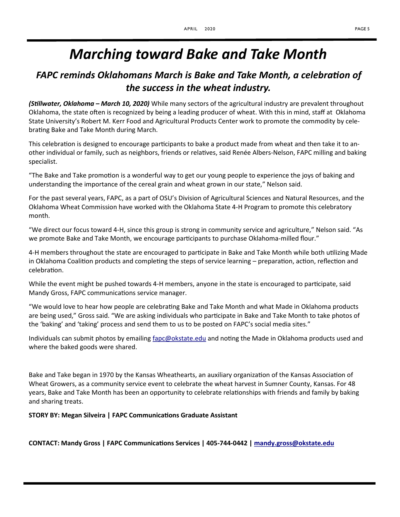## *Marching toward Bake and Take Month*

### *FAPC reminds Oklahomans March is Bake and Take Month, a celebration of the success in the wheat industry.*

*(Stillwater, Oklahoma – March 10, 2020)* While many sectors of the agricultural industry are prevalent throughout Oklahoma, the state often is recognized by being a leading producer of wheat. With this in mind, staff at Oklahoma State University's Robert M. Kerr Food and Agricultural Products Center work to promote the commodity by celebrating Bake and Take Month during March.

This celebration is designed to encourage participants to bake a product made from wheat and then take it to another individual or family, such as neighbors, friends or relatives, said Renée Albers-Nelson, FAPC milling and baking specialist.

"The Bake and Take promotion is a wonderful way to get our young people to experience the joys of baking and understanding the importance of the cereal grain and wheat grown in our state," Nelson said.

For the past several years, FAPC, as a part of OSU's Division of Agricultural Sciences and Natural Resources, and the Oklahoma Wheat Commission have worked with the Oklahoma State 4-H Program to promote this celebratory month.

"We direct our focus toward 4-H, since this group is strong in community service and agriculture," Nelson said. "As we promote Bake and Take Month, we encourage participants to purchase Oklahoma-milled flour."

4-H members throughout the state are encouraged to participate in Bake and Take Month while both utilizing Made in Oklahoma Coalition products and completing the steps of service learning – preparation, action, reflection and celebration.

While the event might be pushed towards 4-H members, anyone in the state is encouraged to participate, said Mandy Gross, FAPC communications service manager.

"We would love to hear how people are celebrating Bake and Take Month and what Made in Oklahoma products are being used," Gross said. "We are asking individuals who participate in Bake and Take Month to take photos of the 'baking' and 'taking' process and send them to us to be posted on FAPC's social media sites."

Individuals can submit photos by emailing *[fapc@okstate.edu](mailto:fapc@okstate.edu)* and noting the Made in Oklahoma products used and where the baked goods were shared.

Bake and Take began in 1970 by the Kansas Wheathearts, an auxiliary organization of the Kansas Association of Wheat Growers, as a community service event to celebrate the wheat harvest in Sumner County, Kansas. For 48 years, Bake and Take Month has been an opportunity to celebrate relationships with friends and family by baking and sharing treats.

#### **STORY BY: Megan Silveira | FAPC Communications Graduate Assistant**

**CONTACT: Mandy Gross | FAPC Communications Services | 405-744-0442 | [mandy.gross@okstate.edu](mailto:mandy.gross@okstate.edu)**